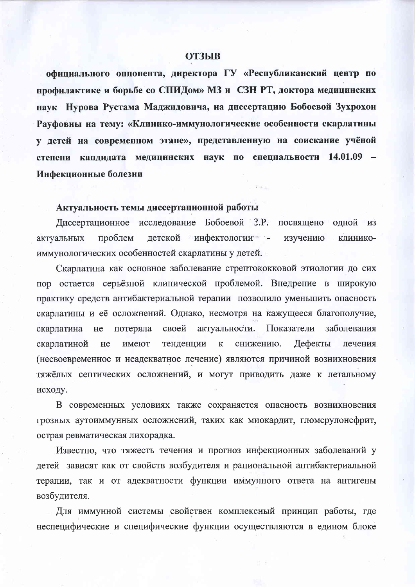#### **ОТЗЫВ**

официального оппонента, директора ГУ «Республиканский центр по профилактике и борьбе со СПИДом» МЗ и СЗН РТ, доктора медицинских наук Нурова Рустама Маджидовича, на диссертацию Бобоевой Зухрохон Рауфовны на тему: «Клинико-иммунологические особенности скарлатины у детей на современном этапе», представленную на соискание учёной степени кандидата медицинских наук по специальности 14.01.09 -Инфекционные болезни

# Актуальность темы диссертационной работы

Диссертационное исследование Бобоевой З.Р. посвящено одной И3 детской инфектологии актуальных проблем изучению клиникоиммунологических особенностей скарлатины у детей.

Скарлатина как основное заболевание стрептококковой этиологии до сих пор остается серьёзной клинической проблемой. Внедрение в широкую практику средств антибактериальной терапии позволило уменьшить опасность скарлатины и её осложнений. Однако, несмотря на кажущееся благополучие, актуальности. Показатели своей заболевания скарлатина He потеряла тенденции  $\mathbf K$ снижению. Дефекты скарлатиной He имеют лечения (несвоевременное и неадекватное лечение) являются причиной возникновения тяжёлых септических осложнений, и могут приводить даже к летальному исходу.

В современных условиях также сохраняется опасность возникновения грозных аутоиммунных осложнений, таких как миокардит, гломерулонефрит, острая ревматическая лихорадка.

Известно, что тяжесть течения и прогноз инфекционных заболеваний у детей зависят как от свойств возбудителя и рациональной антибактериальной терапии, так и от адекватности функции иммунного ответа на антигены возбудителя.

Для иммунной системы свойствен комплексный принцип работы, где неспецифические и специфические функции осуществляются в едином блоке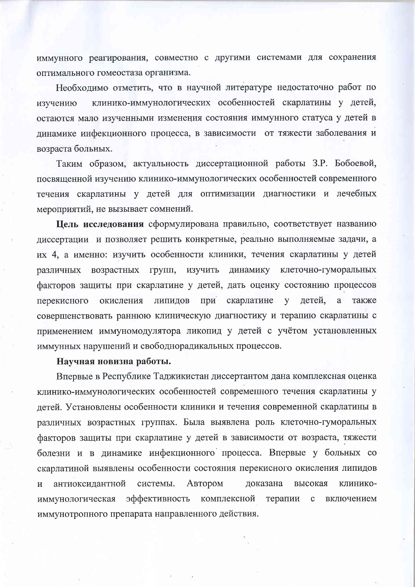иммунного реагирования, совместно с другими системами для сохранения оптимального гомеостаза организма.

Необходимо отметить, что в научной литературе недостаточно работ по клинико-иммунологических особенностей скарлатины у детей, изучению остаются мало изученными изменения состояния иммунного статуса у детей в динамике инфекционного процесса, в зависимости от тяжести заболевания и возраста больных.

Таким образом, актуальность диссертационной работы З.Р. Бобоевой, посвященной изучению клинико-иммунологических особенностей современного течения скарлатины у детей для оптимизации диагностики и лечебных мероприятий, не вызывает сомнений.

Цель исследования сформулирована правильно, соответствует названию диссертации и позволяет решить конкретные, реально выполняемые задачи, а их 4, а именно: изучить особенности клиники, течения скарлатины у детей различных возрастных групп, изучить динамику клеточно-гуморальных факторов защиты при скарлатине у детей, дать оценку состоянию процессов перекисного окисления липидов при скарлатине  $\overline{\mathbf{V}}$ детей, a также совершенствовать раннюю клиническую диагностику и терапию скарлатины с применением иммуномодулятора ликопид у детей с учётом установленных иммунных нарушений и свободнорадикальных процессов.

#### Научная новизна работы.

Впервые в Республике Таджикистан диссертантом дана комплексная оценка клинико-иммунологических особенностей современного течения скарлатины у детей. Установлены особенности клиники и течения современной скарлатины в различных возрастных группах. Была выявлена роль клеточно-гуморальных факторов защиты при скарлатине у детей в зависимости от возраста, тяжести болезни и в динамике инфекционного процесса. Впервые у больных со скарлатиной выявлены особенности состояния перекисного окисления липидов системы. антиоксидантной Автором доказана высокая клинико- $\mathbf{M}$ эффективность комплексной терапии иммунологическая  $\mathbf{C}$ включением иммунотропного препарата направленного действия.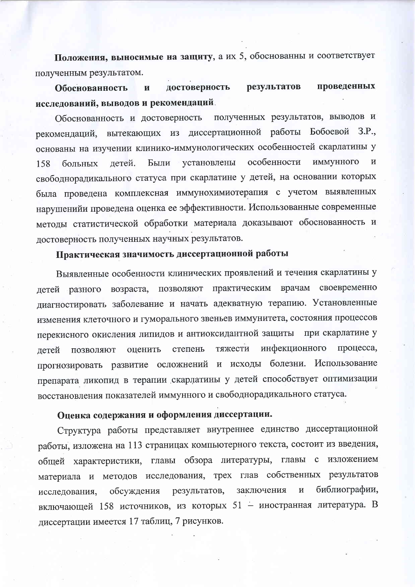Положения, выносимые на защиту, а их 5, обоснованны и соответствует полученным результатом.

проведенных достоверность результатов Обоснованность  $\mathbf H$ исследований, выводов и рекомендаций.

полученных результатов, выводов и Обоснованность и достоверность рекомендаций, вытекающих из диссертационной работы Бобоевой З.Р., основаны на изучении клинико-иммунологических особенностей скарлатины у установлены особенности иммунного  $\overline{M}$ Были 158 больных детей. свободнорадикального статуса при скарлатине у детей, на основании которых была проведена комплексная иммунохимиотерапия с учетом выявленных нарушенийи проведена оценка ее эффективности. Использованные современные методы статистической обработки материала доказывают обоснованность и достоверность полученных научных результатов.

# Практическая значимость диссертационной работы

Выявленные особенности клинических проявлений и течения скарлатины у детей разного возраста, позволяют практическим врачам своевременно диагностировать заболевание и начать адекватную терапию. Установленные изменения клеточного и гуморального звеньев иммунитета, состояния процессов перекисного окисления липидов и антиоксидантной защиты при скарлатине у инфекционного процесса, тяжести степень оценить летей ПОЗВОЛЯЮТ прогнозировать развитие осложнений и исходы болезни. Использование препарата ликопид в терапии скарлатины у детей способствует оптимизации восстановления показателей иммунного и свободнорадикального статуса.

### Оценка содержания и оформления диссертации.

Структура работы представляет внутреннее единство диссертационной работы, изложена на 113 страницах компьютерного текста, состоит из введения, общей характеристики, главы обзора литературы, главы с изложением материала и методов исследования, трех глав собственных результатов библиографии, заключения  $\mathbf{M}$ результатов, исследования, обсуждения включающей 158 источников, из которых 51 - иностранная литература. В диссертации имеется 17 таблиц, 7 рисунков.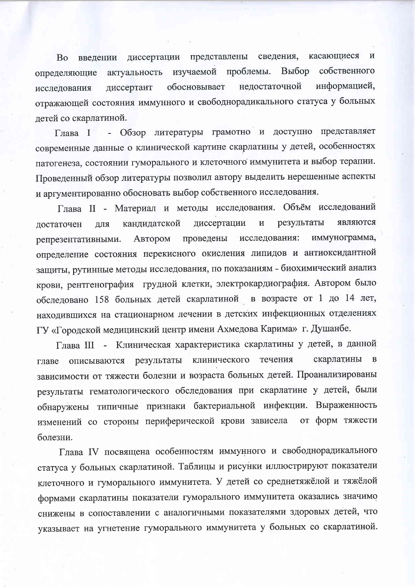представлены сведения, Во введении диссертации касающиеся  $\mathbf{M}$ Выбор собственного изучаемой проблемы. актуальность определяющие обосновывает недостаточной информацией, диссертант исследования отражающей состояния иммунного и свободнорадикального статуса у больных детей со скарлатиной.

Обзор литературы грамотно и доступно представляет Глава І современные данные о клинической картине скарлатины у детей, особенностях патогенеза, состоянии гуморального и клеточного иммунитета и выбор терапии. Проведенный обзор литературы позволил автору выделить нерешенные аспекты и аргументированно обосновать выбор собственного исследования.

Глава II - Материал и методы исследования. Объём исследований являются диссертации результаты кандидатской  $\mathbf H$ достаточен ДЛЯ исследования: иммунограмма, репрезентативными. проведены Автором определение состояния перекисного окисления липидов и антиоксидантной защиты, рутинные методы исследования, по показаниям - биохимический анализ крови, рентгенография грудной клетки, электрокардиография. Автором было обследовано 158 больных детей скарлатиной в возрасте от 1 до 14 лет, находившихся на стационарном лечении в детских инфекционных отделениях ГУ «Городской медицинский центр имени Ахмедова Карима» г. Душанбе.

Глава III - Клиническая характеристика скарлатины у детей, в данной течения скарлатины  $\bf{B}$ клинического описываются результаты главе зависимости от тяжести болезни и возраста больных детей. Проанализированы результаты гематологического обследования при скарлатине у детей, были обнаружены типичные признаки бактериальной инфекции. Выраженность изменений со стороны периферической крови зависела от форм тяжести болезни.

Глава IV посвящена особенностям иммунного и свободнорадикального статуса у больных скарлатиной. Таблицы и рисунки иллюстрируют показатели клеточного и гуморального иммунитета. У детей со среднетяжёлой и тяжёлой формами скарлатины показатели гуморального иммунитета оказались значимо снижены в сопоставлении с аналогичными показателями здоровых детей, что указывает на угнетение гуморального иммунитета у больных со скарлатиной.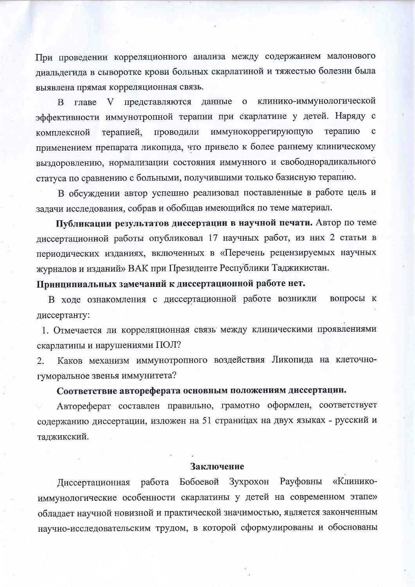При проведении корреляционного анализа между содержанием малонового диальдегида в сыворотке крови больных скарлатиной и тяжестью болезни была выявлена прямая корреляционная связь.

данные о клинико-иммунологической <sub>B</sub> главе V представляются эффективности иммунотропной терапии при скарлатине у детей. Наряду с иммунокоррегирующую терапию  $\mathbf{C}$ терапией, проводили комплексной применением препарата ликопида, что привело к более раннему клиническому выздоровлению, нормализации состояния иммунного и свободнорадикального статуса по сравнению с больными, получившими только базисную терапию.

В обсуждении автор успешно реализовал поставленные в работе цель и задачи исследования, собрав и обобщав имеющийся по теме материал.

Публикации результатов диссертации в научной печати. Автор по теме диссертационной работы опубликовал 17 научных работ, из них 2 статьи в периодических изданиях, включенных в «Перечень рецензируемых научных журналов и изданий» ВАК при Президенте Республики Таджикистан.

Принципиальных замечаний к диссертационной работе нет.

В ходе ознакомления с диссертационной работе возникли вопросы к диссертанту:

1. Отмечается ли корреляционная связь между клиническими проявлениями скарлатины и нарушениями ПОЛ?

Каков механизм иммунотропного воздействия Ликопида на клеточно-2. гуморальное звенья иммунитета?

### Соответствие автореферата основным положениям диссертации.

Автореферат составлен правильно, грамотно оформлен, соответствует содержанию диссертации, изложен на 51 страницах на двух языках - русский и таджикский.

## Заключение

Бобоевой Зухрохон Рауфовны «Клинико-Диссертационная работа иммунологические особенности скарлатины у детей на современном этапе» обладает научной новизной и практической значимостью, является законченным научно-исследовательским трудом, в которой сформулированы и обоснованы